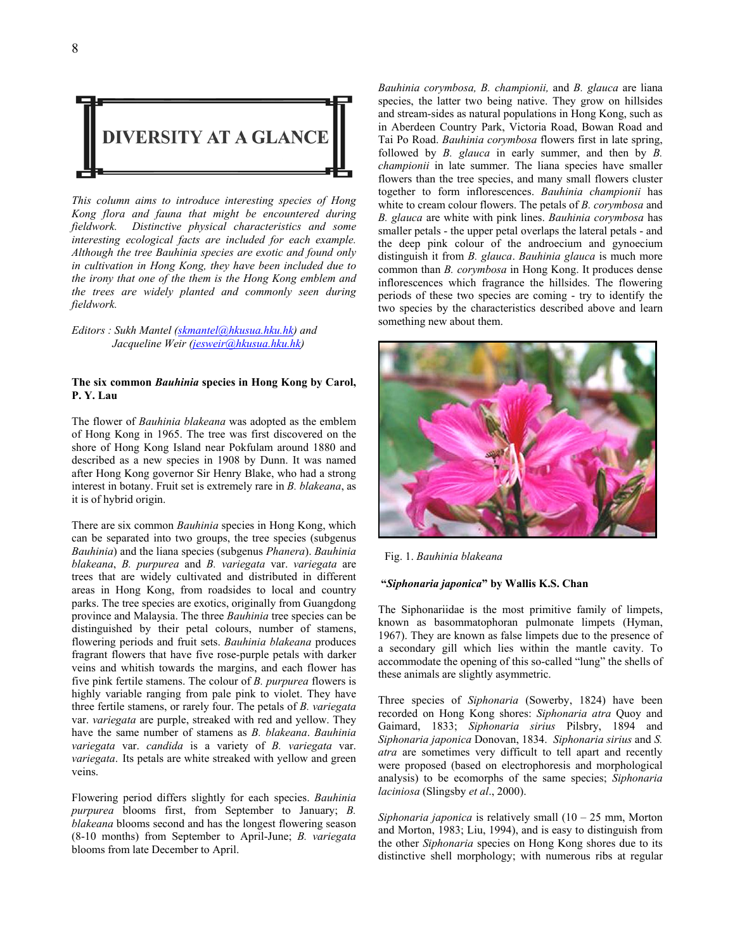

*This column aims to introduce interesting species of Hong Kong flora and fauna that might be encountered during fieldwork. Distinctive physical characteristics and some interesting ecological facts are included for each example. Although the tree Bauhinia species are exotic and found only in cultivation in Hong Kong, they have been included due to the irony that one of the them is the Hong Kong emblem and the trees are widely planted and commonly seen during fieldwork.*

## *Editors : Sukh Mantel (skmantel@hkusua.hku.hk) and Jacqueline Weir (jesweir@hkusua.hku.hk)*

## **The six common** *Bauhinia* **species in Hong Kong by Carol, P. Y. Lau**

The flower of *Bauhinia blakeana* was adopted as the emblem of Hong Kong in 1965. The tree was first discovered on the shore of Hong Kong Island near Pokfulam around 1880 and described as a new species in 1908 by Dunn. It was named after Hong Kong governor Sir Henry Blake, who had a strong interest in botany. Fruit set is extremely rare in *B. blakeana*, as it is of hybrid origin.

There are six common *Bauhinia* species in Hong Kong, which can be separated into two groups, the tree species (subgenus *Bauhinia*) and the liana species (subgenus *Phanera*). *Bauhinia blakeana*, *B. purpurea* and *B. variegata* var. *variegata* are trees that are widely cultivated and distributed in different areas in Hong Kong, from roadsides to local and country parks. The tree species are exotics, originally from Guangdong province and Malaysia. The three *Bauhinia* tree species can be distinguished by their petal colours, number of stamens, flowering periods and fruit sets. *Bauhinia blakeana* produces fragrant flowers that have five rose-purple petals with darker veins and whitish towards the margins, and each flower has five pink fertile stamens. The colour of *B. purpurea* flowers is highly variable ranging from pale pink to violet. They have three fertile stamens, or rarely four. The petals of *B. variegata*  var. *variegata* are purple, streaked with red and yellow. They have the same number of stamens as *B. blakeana*. *Bauhinia variegata* var. *candida* is a variety of *B. variegata* var. *variegata*. Its petals are white streaked with yellow and green veins.

Flowering period differs slightly for each species. *Bauhinia purpurea* blooms first, from September to January; *B. blakeana* blooms second and has the longest flowering season (8-10 months) from September to April-June; *B. variegata* blooms from late December to April.

*Bauhinia corymbosa, B. championii,* and *B. glauca* are liana species, the latter two being native. They grow on hillsides and stream-sides as natural populations in Hong Kong, such as in Aberdeen Country Park, Victoria Road, Bowan Road and Tai Po Road. *Bauhinia corymbosa* flowers first in late spring, followed by *B. glauca* in early summer, and then by *B. championii* in late summer. The liana species have smaller flowers than the tree species, and many small flowers cluster together to form inflorescences. *Bauhinia championii* has white to cream colour flowers. The petals of *B. corymbosa* and *B. glauca* are white with pink lines. *Bauhinia corymbosa* has smaller petals - the upper petal overlaps the lateral petals - and the deep pink colour of the androecium and gynoecium distinguish it from *B. glauca*. *Bauhinia glauca* is much more common than *B. corymbosa* in Hong Kong. It produces dense inflorescences which fragrance the hillsides. The flowering periods of these two species are coming - try to identify the two species by the characteristics described above and learn something new about them.



Fig. 1. *Bauhinia blakeana* 

## **"***Siphonaria japonica***" by Wallis K.S. Chan**

The Siphonariidae is the most primitive family of limpets, known as basommatophoran pulmonate limpets (Hyman, 1967). They are known as false limpets due to the presence of a secondary gill which lies within the mantle cavity. To accommodate the opening of this so-called "lung" the shells of these animals are slightly asymmetric.

Three species of *Siphonaria* (Sowerby, 1824) have been recorded on Hong Kong shores: *Siphonaria atra* Quoy and Gaimard, 1833; *Siphonaria sirius* Pilsbry, 1894 and *Siphonaria japonica* Donovan, 1834. *Siphonaria sirius* and *S. atra* are sometimes very difficult to tell apart and recently were proposed (based on electrophoresis and morphological analysis) to be ecomorphs of the same species; *Siphonaria laciniosa* (Slingsby *et al*., 2000).

*Siphonaria japonica* is relatively small (10 – 25 mm, Morton and Morton, 1983; Liu, 1994), and is easy to distinguish from the other *Siphonaria* species on Hong Kong shores due to its distinctive shell morphology; with numerous ribs at regular